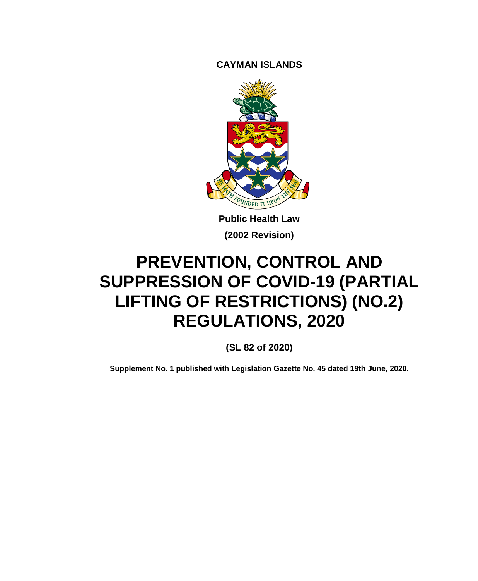**CAYMAN ISLANDS**



**Public Health Law (2002 Revision)**

# **PREVENTION, CONTROL AND SUPPRESSION OF COVID-19 (PARTIAL LIFTING OF RESTRICTIONS) (NO.2) REGULATIONS, 2020**

**(SL 82 of 2020)**

**Supplement No. 1 published with Legislation Gazette No. 45 dated 19th June, 2020.**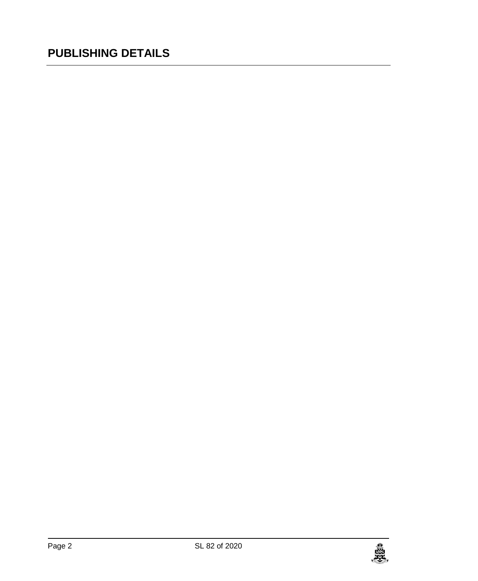## **PUBLISHING DETAILS**

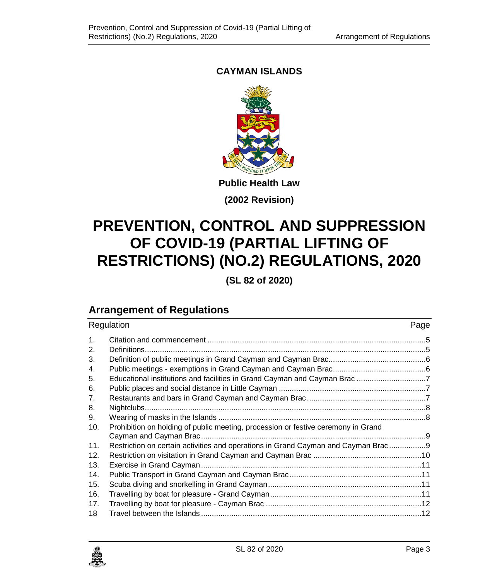### **CAYMAN ISLANDS**



**(2002 Revision)**

# **PREVENTION, CONTROL AND SUPPRESSION OF COVID-19 (PARTIAL LIFTING OF RESTRICTIONS) (NO.2) REGULATIONS, 2020**

**(SL 82 of 2020)**

### **Arrangement of Regulations**

| Regulation     |                                                                                   | Page |
|----------------|-----------------------------------------------------------------------------------|------|
| $\mathbf{1}$ . |                                                                                   |      |
| 2.             |                                                                                   |      |
| 3.             |                                                                                   |      |
| 4.             |                                                                                   |      |
| 5.             |                                                                                   |      |
| 6.             |                                                                                   |      |
| 7.             |                                                                                   |      |
| 8.             |                                                                                   |      |
| 9.             |                                                                                   |      |
| 10.            | Prohibition on holding of public meeting, procession or festive ceremony in Grand |      |
|                |                                                                                   |      |
| 11.            | Restriction on certain activities and operations in Grand Cayman and Cayman Brac  |      |
| 12.            |                                                                                   |      |
| 13.            |                                                                                   |      |
| 14.            |                                                                                   |      |
| 15.            |                                                                                   |      |
| 16.            |                                                                                   |      |
| 17.            |                                                                                   |      |
| 18             |                                                                                   |      |

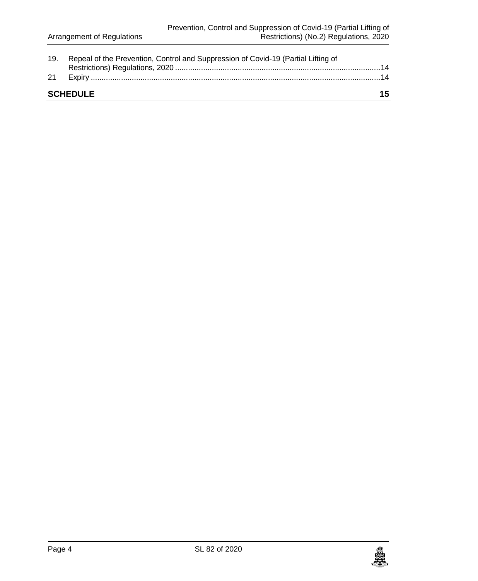| 19. | Repeal of the Prevention, Control and Suppression of Covid-19 (Partial Lifting of |     |
|-----|-----------------------------------------------------------------------------------|-----|
| 21  |                                                                                   |     |
|     | <b>SCHEDULE</b>                                                                   | 15. |

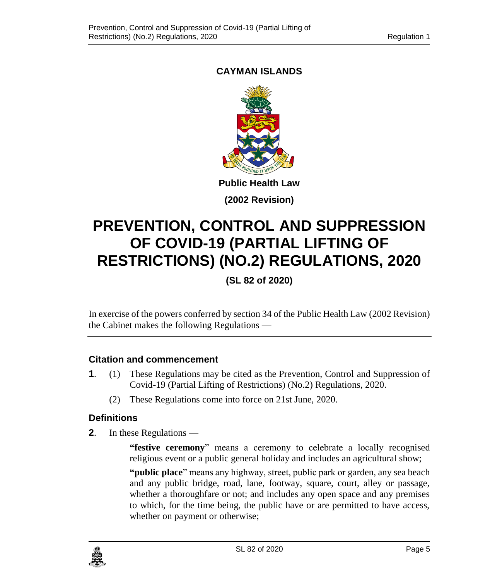### <span id="page-4-0"></span>**CAYMAN ISLANDS**



**(2002 Revision)**

# **PREVENTION, CONTROL AND SUPPRESSION OF COVID-19 (PARTIAL LIFTING OF RESTRICTIONS) (NO.2) REGULATIONS, 2020**

**(SL 82 of 2020)**

In exercise of the powers conferred by section 34 of the Public Health Law (2002 Revision) the Cabinet makes the following Regulations —

#### **1. Citation and commencement**

- **1**. (1) These Regulations may be cited as the Prevention, Control and Suppression of Covid-19 (Partial Lifting of Restrictions) (No.2) Regulations, 2020.
	- (2) These Regulations come into force on 21st June, 2020.

#### <span id="page-4-1"></span>**2. Definitions**

**2**. In these Regulations —

**"festive ceremony**" means a ceremony to celebrate a locally recognised religious event or a public general holiday and includes an agricultural show;

**"public place**" means any highway, street, public park or garden, any sea beach and any public bridge, road, lane, footway, square, court, alley or passage, whether a thoroughfare or not; and includes any open space and any premises to which, for the time being, the public have or are permitted to have access, whether on payment or otherwise;

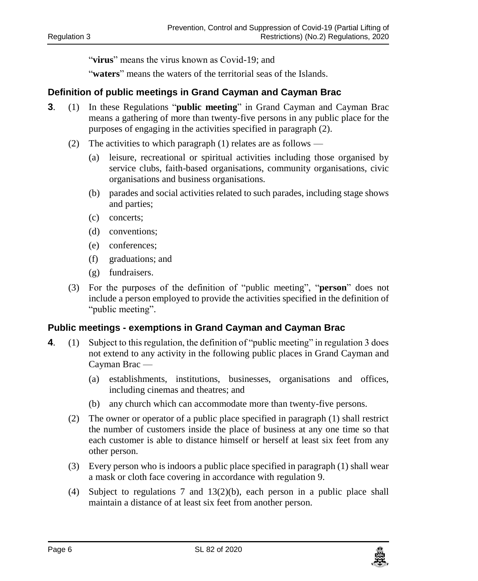"**virus**" means the virus known as Covid-19; and

"**waters**" means the waters of the territorial seas of the Islands.

#### <span id="page-5-0"></span>**3. Definition of public meetings in Grand Cayman and Cayman Brac**

- **3**. (1) In these Regulations "**public meeting**" in Grand Cayman and Cayman Brac means a gathering of more than twenty-five persons in any public place for the purposes of engaging in the activities specified in paragraph (2).
	- (2) The activities to which paragraph (1) relates are as follows
		- (a) leisure, recreational or spiritual activities including those organised by service clubs, faith-based organisations, community organisations, civic organisations and business organisations.
		- (b) parades and social activities related to such parades, including stage shows and parties;
		- (c) concerts;
		- (d) conventions;
		- (e) conferences;
		- (f) graduations; and
		- (g) fundraisers.
	- (3) For the purposes of the definition of "public meeting", "**person**" does not include a person employed to provide the activities specified in the definition of "public meeting".

#### <span id="page-5-1"></span>**4. Public meetings - exemptions in Grand Cayman and Cayman Brac**

- **4**. (1) Subject to this regulation, the definition of "public meeting" in regulation 3 does not extend to any activity in the following public places in Grand Cayman and Cayman Brac —
	- (a) establishments, institutions, businesses, organisations and offices, including cinemas and theatres; and
	- (b) any church which can accommodate more than twenty-five persons.
	- (2) The owner or operator of a public place specified in paragraph (1) shall restrict the number of customers inside the place of business at any one time so that each customer is able to distance himself or herself at least six feet from any other person.
	- (3) Every person who is indoors a public place specified in paragraph (1) shall wear a mask or cloth face covering in accordance with regulation 9.
	- (4) Subject to regulations 7 and 13(2)(b), each person in a public place shall maintain a distance of at least six feet from another person.

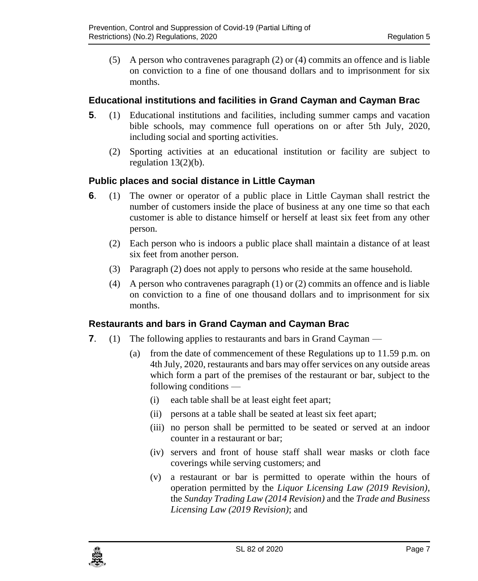(5) A person who contravenes paragraph (2) or (4) commits an offence and is liable on conviction to a fine of one thousand dollars and to imprisonment for six months.

#### <span id="page-6-0"></span>**5. Educational institutions and facilities in Grand Cayman and Cayman Brac**

- **5**. (1) Educational institutions and facilities, including summer camps and vacation bible schools, may commence full operations on or after 5th July, 2020, including social and sporting activities.
	- (2) Sporting activities at an educational institution or facility are subject to regulation 13(2)(b).

#### <span id="page-6-1"></span>**6. Public places and social distance in Little Cayman**

- **6**. (1) The owner or operator of a public place in Little Cayman shall restrict the number of customers inside the place of business at any one time so that each customer is able to distance himself or herself at least six feet from any other person.
	- (2) Each person who is indoors a public place shall maintain a distance of at least six feet from another person.
	- (3) Paragraph (2) does not apply to persons who reside at the same household.
	- (4) A person who contravenes paragraph (1) or (2) commits an offence and is liable on conviction to a fine of one thousand dollars and to imprisonment for six months.

#### <span id="page-6-2"></span>**7. Restaurants and bars in Grand Cayman and Cayman Brac**

- **7**. (1) The following applies to restaurants and bars in Grand Cayman
	- (a) from the date of commencement of these Regulations up to 11.59 p.m. on 4th July, 2020, restaurants and bars may offer services on any outside areas which form a part of the premises of the restaurant or bar, subject to the following conditions —
		- (i) each table shall be at least eight feet apart;
		- (ii) persons at a table shall be seated at least six feet apart;
		- (iii) no person shall be permitted to be seated or served at an indoor counter in a restaurant or bar;
		- (iv) servers and front of house staff shall wear masks or cloth face coverings while serving customers; and
		- (v) a restaurant or bar is permitted to operate within the hours of operation permitted by the *Liquor Licensing Law (2019 Revision)*, the *Sunday Trading Law (2014 Revision)* and the *Trade and Business Licensing Law (2019 Revision)*; and

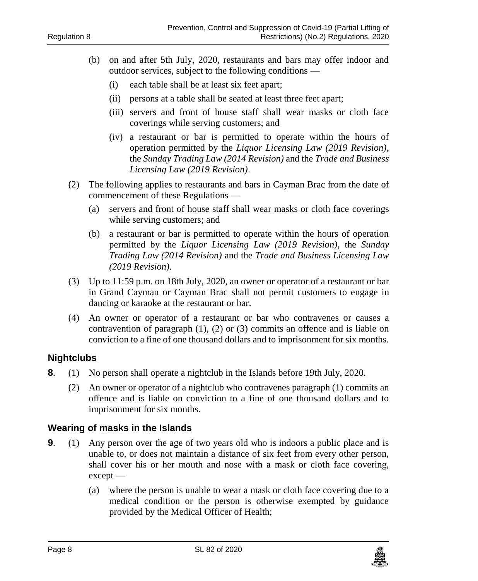- (b) on and after 5th July, 2020, restaurants and bars may offer indoor and outdoor services, subject to the following conditions —
	- (i) each table shall be at least six feet apart;
	- (ii) persons at a table shall be seated at least three feet apart;
	- (iii) servers and front of house staff shall wear masks or cloth face coverings while serving customers; and
	- (iv) a restaurant or bar is permitted to operate within the hours of operation permitted by the *Liquor Licensing Law (2019 Revision)*, the *Sunday Trading Law (2014 Revision)* and the *Trade and Business Licensing Law (2019 Revision)*.
- (2) The following applies to restaurants and bars in Cayman Brac from the date of commencement of these Regulations —
	- (a) servers and front of house staff shall wear masks or cloth face coverings while serving customers; and
	- (b) a restaurant or bar is permitted to operate within the hours of operation permitted by the *Liquor Licensing Law (2019 Revision)*, the *Sunday Trading Law (2014 Revision)* and the *Trade and Business Licensing Law (2019 Revision)*.
- (3) Up to 11:59 p.m. on 18th July, 2020, an owner or operator of a restaurant or bar in Grand Cayman or Cayman Brac shall not permit customers to engage in dancing or karaoke at the restaurant or bar.
- (4) An owner or operator of a restaurant or bar who contravenes or causes a contravention of paragraph (1), (2) or (3) commits an offence and is liable on conviction to a fine of one thousand dollars and to imprisonment for six months.

#### <span id="page-7-0"></span>**8. Nightclubs**

- **8**. (1) No person shall operate a nightclub in the Islands before 19th July, 2020.
	- (2) An owner or operator of a nightclub who contravenes paragraph (1) commits an offence and is liable on conviction to a fine of one thousand dollars and to imprisonment for six months.

#### <span id="page-7-1"></span>**9. Wearing of masks in the Islands**

- **9.** (1) Any person over the age of two years old who is indoors a public place and is unable to, or does not maintain a distance of six feet from every other person, shall cover his or her mouth and nose with a mask or cloth face covering, except —
	- (a) where the person is unable to wear a mask or cloth face covering due to a medical condition or the person is otherwise exempted by guidance provided by the Medical Officer of Health;

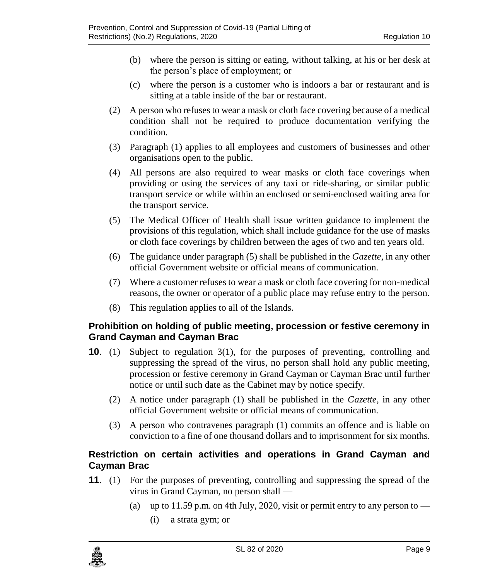- (b) where the person is sitting or eating, without talking, at his or her desk at the person's place of employment; or
- (c) where the person is a customer who is indoors a bar or restaurant and is sitting at a table inside of the bar or restaurant.
- (2) A person who refusesto wear a mask or cloth face covering because of a medical condition shall not be required to produce documentation verifying the condition.
- (3) Paragraph (1) applies to all employees and customers of businesses and other organisations open to the public.
- (4) All persons are also required to wear masks or cloth face coverings when providing or using the services of any taxi or ride-sharing, or similar public transport service or while within an enclosed or semi-enclosed waiting area for the transport service.
- (5) The Medical Officer of Health shall issue written guidance to implement the provisions of this regulation, which shall include guidance for the use of masks or cloth face coverings by children between the ages of two and ten years old.
- (6) The guidance under paragraph (5) shall be published in the *Gazette*, in any other official Government website or official means of communication.
- (7) Where a customer refuses to wear a mask or cloth face covering for non-medical reasons, the owner or operator of a public place may refuse entry to the person.
- (8) This regulation applies to all of the Islands.

#### <span id="page-8-0"></span>**10. Prohibition on holding of public meeting, procession or festive ceremony in Grand Cayman and Cayman Brac**

- **10**. (1) Subject to regulation 3(1), for the purposes of preventing, controlling and suppressing the spread of the virus, no person shall hold any public meeting, procession or festive ceremony in Grand Cayman or Cayman Brac until further notice or until such date as the Cabinet may by notice specify.
	- (2) A notice under paragraph (1) shall be published in the *Gazette,* in any other official Government website or official means of communication.
	- (3) A person who contravenes paragraph (1) commits an offence and is liable on conviction to a fine of one thousand dollars and to imprisonment for six months.

#### <span id="page-8-1"></span>**11. Restriction on certain activities and operations in Grand Cayman and Cayman Brac**

- **11**. (1) For the purposes of preventing, controlling and suppressing the spread of the virus in Grand Cayman, no person shall —
	- (a) up to 11.59 p.m. on 4th July, 2020, visit or permit entry to any person to  $-$ 
		- (i) a strata gym; or

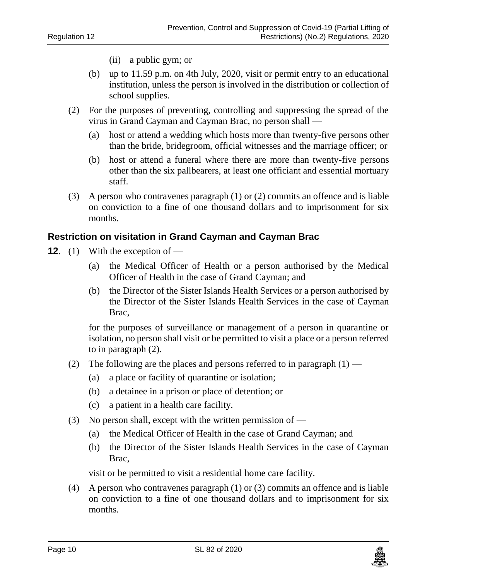- (ii) a public gym; or
- (b) up to 11.59 p.m. on 4th July, 2020, visit or permit entry to an educational institution, unless the person is involved in the distribution or collection of school supplies.
- (2) For the purposes of preventing, controlling and suppressing the spread of the virus in Grand Cayman and Cayman Brac, no person shall —
	- (a) host or attend a wedding which hosts more than twenty-five persons other than the bride, bridegroom, official witnesses and the marriage officer; or
	- (b) host or attend a funeral where there are more than twenty-five persons other than the six pallbearers, at least one officiant and essential mortuary staff.
- (3) A person who contravenes paragraph (1) or (2) commits an offence and is liable on conviction to a fine of one thousand dollars and to imprisonment for six months.

#### <span id="page-9-0"></span>**12. Restriction on visitation in Grand Cayman and Cayman Brac**

- **12.** (1) With the exception of
	- (a) the Medical Officer of Health or a person authorised by the Medical Officer of Health in the case of Grand Cayman; and
	- (b) the Director of the Sister Islands Health Services or a person authorised by the Director of the Sister Islands Health Services in the case of Cayman Brac,

for the purposes of surveillance or management of a person in quarantine or isolation, no person shall visit or be permitted to visit a place or a person referred to in paragraph (2).

- (2) The following are the places and persons referred to in paragraph  $(1)$ 
	- (a) a place or facility of quarantine or isolation;
	- (b) a detainee in a prison or place of detention; or
	- (c) a patient in a health care facility.
- (3) No person shall, except with the written permission of
	- (a) the Medical Officer of Health in the case of Grand Cayman; and
	- (b) the Director of the Sister Islands Health Services in the case of Cayman Brac,

visit or be permitted to visit a residential home care facility.

(4) A person who contravenes paragraph (1) or (3) commits an offence and is liable on conviction to a fine of one thousand dollars and to imprisonment for six months.

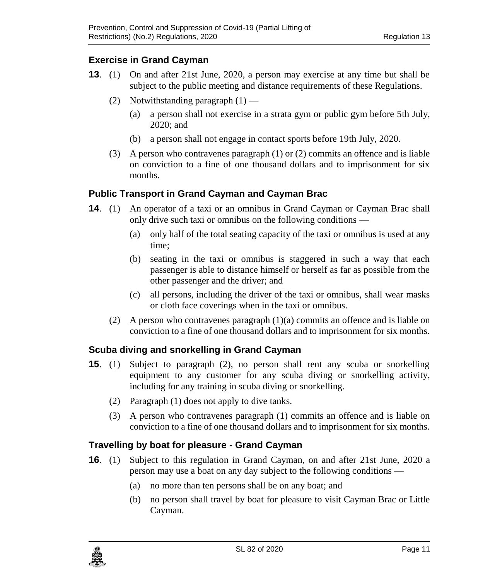#### <span id="page-10-0"></span>**13. Exercise in Grand Cayman**

- **13**. (1) On and after 21st June, 2020, a person may exercise at any time but shall be subject to the public meeting and distance requirements of these Regulations.
	- (2) Notwithstanding paragraph  $(1)$ 
		- (a) a person shall not exercise in a strata gym or public gym before 5th July, 2020; and
		- (b) a person shall not engage in contact sports before 19th July, 2020.
	- (3) A person who contravenes paragraph (1) or (2) commits an offence and is liable on conviction to a fine of one thousand dollars and to imprisonment for six months.

#### <span id="page-10-1"></span>**14. Public Transport in Grand Cayman and Cayman Brac**

- **14.** (1) An operator of a taxi or an omnibus in Grand Cayman or Cayman Brac shall only drive such taxi or omnibus on the following conditions —
	- (a) only half of the total seating capacity of the taxi or omnibus is used at any time;
	- (b) seating in the taxi or omnibus is staggered in such a way that each passenger is able to distance himself or herself as far as possible from the other passenger and the driver; and
	- (c) all persons, including the driver of the taxi or omnibus, shall wear masks or cloth face coverings when in the taxi or omnibus.
	- (2) A person who contravenes paragraph  $(1)(a)$  commits an offence and is liable on conviction to a fine of one thousand dollars and to imprisonment for six months.

#### <span id="page-10-2"></span>**15. Scuba diving and snorkelling in Grand Cayman**

- **15**. (1) Subject to paragraph (2), no person shall rent any scuba or snorkelling equipment to any customer for any scuba diving or snorkelling activity, including for any training in scuba diving or snorkelling.
	- (2) Paragraph (1) does not apply to dive tanks.
	- (3) A person who contravenes paragraph (1) commits an offence and is liable on conviction to a fine of one thousand dollars and to imprisonment for six months.

#### <span id="page-10-3"></span>**16. Travelling by boat for pleasure - Grand Cayman**

- **16**. (1) Subject to this regulation in Grand Cayman, on and after 21st June, 2020 a person may use a boat on any day subject to the following conditions —
	- (a) no more than ten persons shall be on any boat; and
	- (b) no person shall travel by boat for pleasure to visit Cayman Brac or Little Cayman.

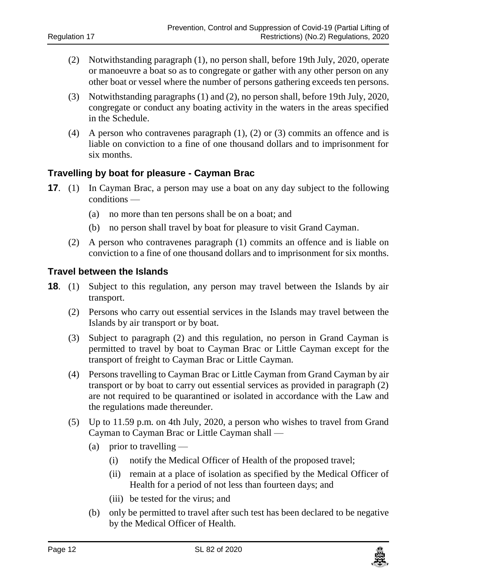- (2) Notwithstanding paragraph (1), no person shall, before 19th July, 2020, operate or manoeuvre a boat so as to congregate or gather with any other person on any other boat or vessel where the number of persons gathering exceeds ten persons.
- (3) Notwithstanding paragraphs (1) and (2), no person shall, before 19th July, 2020, congregate or conduct any boating activity in the waters in the areas specified in the Schedule.
- (4) A person who contravenes paragraph (1), (2) or (3) commits an offence and is liable on conviction to a fine of one thousand dollars and to imprisonment for six months.

#### <span id="page-11-0"></span>**17. Travelling by boat for pleasure - Cayman Brac**

- **17.** (1) In Cayman Brac, a person may use a boat on any day subject to the following conditions —
	- (a) no more than ten persons shall be on a boat; and
	- (b) no person shall travel by boat for pleasure to visit Grand Cayman.
	- (2) A person who contravenes paragraph (1) commits an offence and is liable on conviction to a fine of one thousand dollars and to imprisonment for six months.

#### <span id="page-11-1"></span>**18 Travel between the Islands**

- **18**. (1) Subject to this regulation, any person may travel between the Islands by air transport.
	- (2) Persons who carry out essential services in the Islands may travel between the Islands by air transport or by boat.
	- (3) Subject to paragraph (2) and this regulation, no person in Grand Cayman is permitted to travel by boat to Cayman Brac or Little Cayman except for the transport of freight to Cayman Brac or Little Cayman.
	- (4) Persons travelling to Cayman Brac or Little Cayman from Grand Cayman by air transport or by boat to carry out essential services as provided in paragraph (2) are not required to be quarantined or isolated in accordance with the Law and the regulations made thereunder.
	- (5) Up to 11.59 p.m. on 4th July, 2020, a person who wishes to travel from Grand Cayman to Cayman Brac or Little Cayman shall —
		- (a) prior to travelling  $-$ 
			- (i) notify the Medical Officer of Health of the proposed travel;
			- (ii) remain at a place of isolation as specified by the Medical Officer of Health for a period of not less than fourteen days; and
			- (iii) be tested for the virus; and
		- (b) only be permitted to travel after such test has been declared to be negative by the Medical Officer of Health.

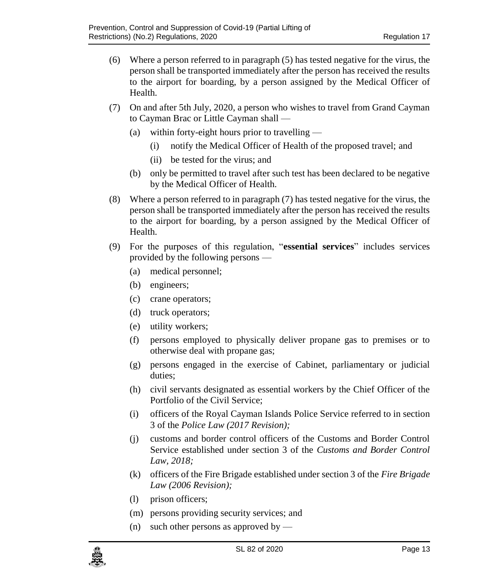- (6) Where a person referred to in paragraph (5) has tested negative for the virus, the person shall be transported immediately after the person has received the results to the airport for boarding, by a person assigned by the Medical Officer of Health.
- (7) On and after 5th July, 2020, a person who wishes to travel from Grand Cayman to Cayman Brac or Little Cayman shall —
	- (a) within forty-eight hours prior to travelling
		- (i) notify the Medical Officer of Health of the proposed travel; and
		- (ii) be tested for the virus; and
	- (b) only be permitted to travel after such test has been declared to be negative by the Medical Officer of Health.
- (8) Where a person referred to in paragraph (7) has tested negative for the virus, the person shall be transported immediately after the person has received the results to the airport for boarding, by a person assigned by the Medical Officer of Health.
- (9) For the purposes of this regulation, "**essential services**" includes services provided by the following persons —
	- (a) medical personnel;
	- (b) engineers;
	- (c) crane operators;
	- (d) truck operators;
	- (e) utility workers;
	- (f) persons employed to physically deliver propane gas to premises or to otherwise deal with propane gas;
	- (g) persons engaged in the exercise of Cabinet, parliamentary or judicial duties;
	- (h) civil servants designated as essential workers by the Chief Officer of the Portfolio of the Civil Service;
	- (i) officers of the Royal Cayman Islands Police Service referred to in section 3 of the *Police Law (2017 Revision);*
	- (j) customs and border control officers of the Customs and Border Control Service established under section 3 of the *Customs and Border Control Law, 2018;*
	- (k) officers of the Fire Brigade established under section 3 of the *Fire Brigade Law (2006 Revision);*
	- (l) prison officers;
	- (m) persons providing security services; and
	- (n) such other persons as approved by —

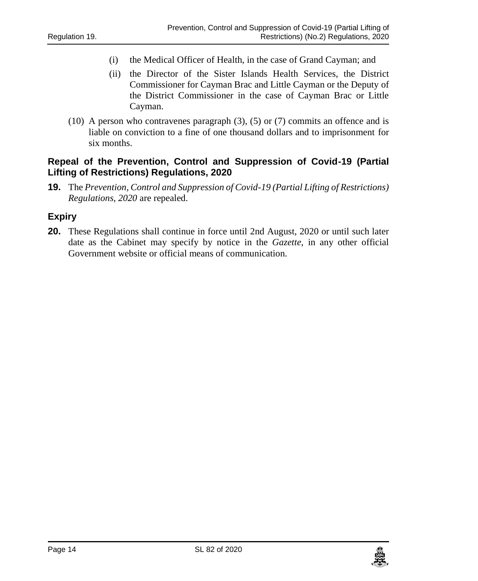- (i) the Medical Officer of Health, in the case of Grand Cayman; and
- (ii) the Director of the Sister Islands Health Services, the District Commissioner for Cayman Brac and Little Cayman or the Deputy of the District Commissioner in the case of Cayman Brac or Little Cayman.
- (10) A person who contravenes paragraph (3), (5) or (7) commits an offence and is liable on conviction to a fine of one thousand dollars and to imprisonment for six months.

#### <span id="page-13-0"></span>**19. Repeal of the Prevention, Control and Suppression of Covid-19 (Partial Lifting of Restrictions) Regulations, 2020**

**19.** The *Prevention, Control and Suppression of Covid-19 (Partial Lifting of Restrictions) Regulations, 2020* are repealed.

#### <span id="page-13-1"></span>**21 Expiry**

**20.** These Regulations shall continue in force until 2nd August, 2020 or until such later date as the Cabinet may specify by notice in the *Gazette*, in any other official Government website or official means of communication.